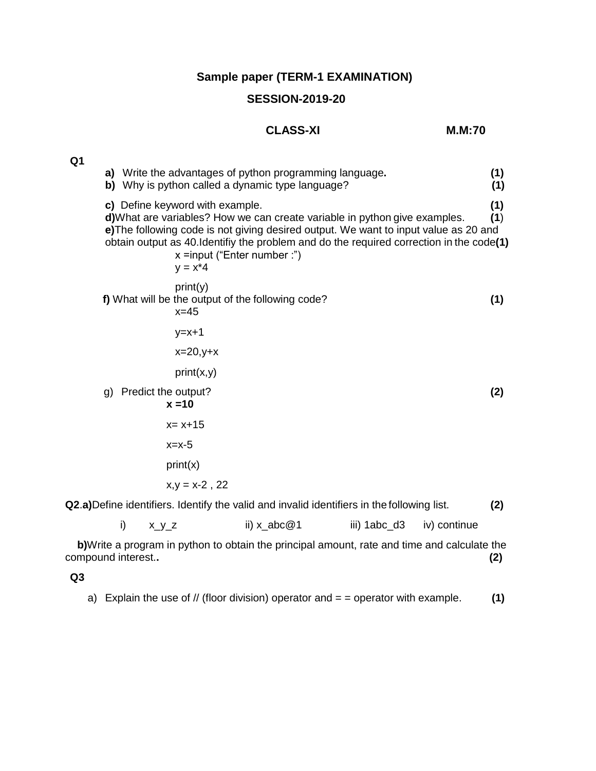**Sample paper (TERM-1 EXAMINATION)**

## **SESSION-2019-20**

## **CLASS-XI M.M:70**

| Q <sub>1</sub> |    |                                               |                                                                                                                                                                                                                                                                                                  |              |              |            |
|----------------|----|-----------------------------------------------|--------------------------------------------------------------------------------------------------------------------------------------------------------------------------------------------------------------------------------------------------------------------------------------------------|--------------|--------------|------------|
|                |    |                                               | a) Write the advantages of python programming language.<br>b) Why is python called a dynamic type language?                                                                                                                                                                                      |              |              | (1)<br>(1) |
|                |    | c) Define keyword with example.<br>$y = x^*4$ | d) What are variables? How we can create variable in python give examples.<br>e) The following code is not giving desired output. We want to input value as 20 and<br>obtain output as 40. Identifiy the problem and do the required correction in the code(1)<br>$x = input$ ("Enter number :") |              |              | (1)<br>(1) |
|                |    | print(y)<br>$x=45$                            | f) What will be the output of the following code?                                                                                                                                                                                                                                                |              |              | (1)        |
|                |    | $y=x+1$                                       |                                                                                                                                                                                                                                                                                                  |              |              |            |
|                |    | $x=20, y+x$                                   |                                                                                                                                                                                                                                                                                                  |              |              |            |
|                |    | print(x, y)                                   |                                                                                                                                                                                                                                                                                                  |              |              |            |
|                | g) | Predict the output?<br>$x = 10$               |                                                                                                                                                                                                                                                                                                  |              |              | (2)        |
|                |    | $x = x + 15$                                  |                                                                                                                                                                                                                                                                                                  |              |              |            |
|                |    | $x=x-5$                                       |                                                                                                                                                                                                                                                                                                  |              |              |            |
|                |    | print(x)                                      |                                                                                                                                                                                                                                                                                                  |              |              |            |
|                |    | $x,y = x-2$ , 22                              |                                                                                                                                                                                                                                                                                                  |              |              |            |
|                |    |                                               | Q2.a)Define identifiers. Identify the valid and invalid identifiers in the following list.                                                                                                                                                                                                       |              |              | (2)        |
|                | i) | $x_y_z$                                       | ii) $x\_abc@1$                                                                                                                                                                                                                                                                                   | iii) 1abc_d3 | iv) continue |            |
|                |    |                                               |                                                                                                                                                                                                                                                                                                  |              |              |            |

**b)**Write a program in python to obtain the principal amount, rate and time and calculate the mpound interest.. compound interest..

**Q3**

a) Explain the use of  $//$  (floor division) operator and  $=$  = operator with example.  $(1)$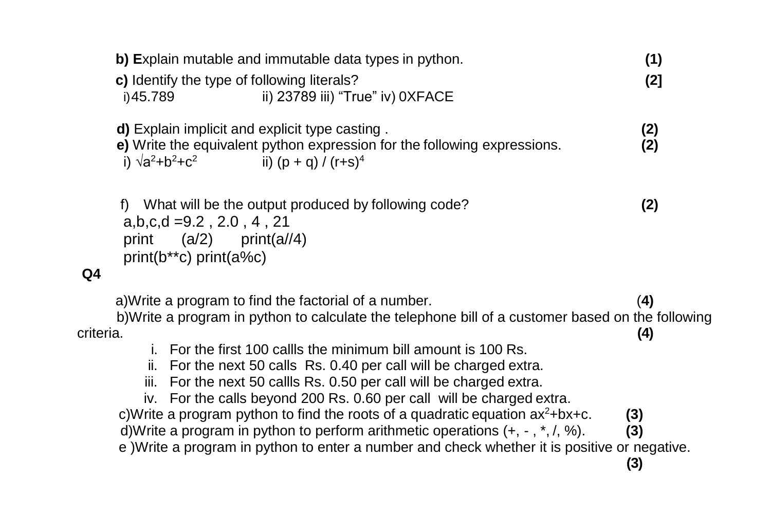|           | b) Explain mutable and immutable data types in python.                                                                                                                                                                                                                                   |                   |  |
|-----------|------------------------------------------------------------------------------------------------------------------------------------------------------------------------------------------------------------------------------------------------------------------------------------------|-------------------|--|
|           | c) Identify the type of following literals?<br>ii) 23789 iii) "True" iv) 0XFACE<br>i) 45.789                                                                                                                                                                                             | (2]               |  |
|           | d) Explain implicit and explicit type casting.<br>e) Write the equivalent python expression for the following expressions.<br>i) √a <sup>2</sup> +b <sup>2</sup> +c <sup>2</sup><br>ii) $(p + q) / (r + s)^4$                                                                            | (2)<br>(2)        |  |
|           | What will be the output produced by following code?<br>f)<br>$a,b,c,d = 9.2$ , 2.0, 4, 21<br>$(a/2)$ print $(a//4)$<br>print<br>$print(b**c) print(a%c)$                                                                                                                                 | (2)               |  |
| Q4        |                                                                                                                                                                                                                                                                                          |                   |  |
| criteria. | a) Write a program to find the factorial of a number.<br>b)Write a program in python to calculate the telephone bill of a customer based on the following                                                                                                                                | (4)<br>(4)        |  |
|           | For the first 100 callls the minimum bill amount is 100 Rs.<br>For the next 50 calls Rs. 0.40 per call will be charged extra.<br>ii.<br>For the next 50 callls Rs. 0.50 per call will be charged extra.<br>iii.<br>iv. For the calls beyond 200 Rs. 0.60 per call will be charged extra. |                   |  |
|           | c)Write a program python to find the roots of a quadratic equation $ax^2 + bx + c$ .<br>d)Write a program in python to perform arithmetic operations $(+, -, *, ', %).$<br>e) Write a program in python to enter a number and check whether it is positive or negative.                  | (3)<br>(3)<br>(3) |  |
|           |                                                                                                                                                                                                                                                                                          |                   |  |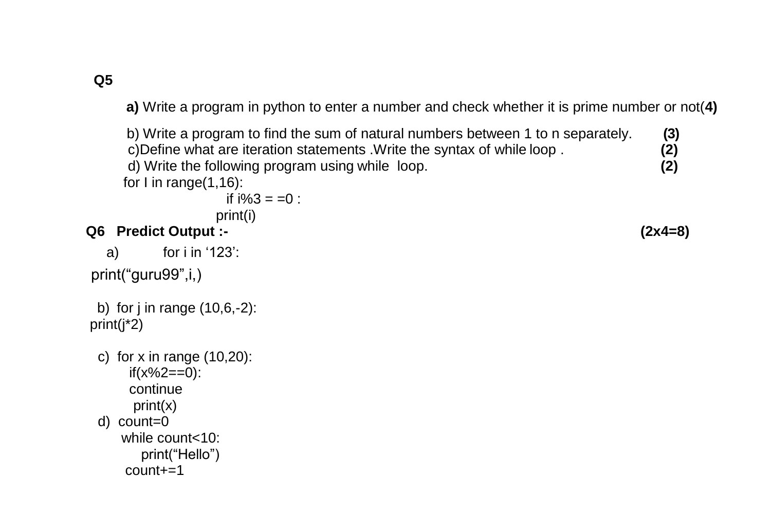**Q5**

**a)** Write a program in python to enter a number and check whether it is prime number or not(**4)**

 b) Write a program to find the sum of natural numbers between 1 to n separately. **(3)** c)Define what are iteration statements .Write the syntax of while loop . **(2)** d) Write the following program using while loop. **(2)** for I in range(1,16): if  $i\%3 = 0$  :

print(i)

## **Q6 Predict Output :- (2x4=8)**

```
a) for i in '123':
```

```
 print("guru99",i,)
```

```
b) for j in range (10,6,-2):
print(j*2)
```

```
c) for x in range (10,20):
     if(x%2==0):
     continue
      print(x)
d) count=0
    while count<10:
       print("Hello")
```
count+=1